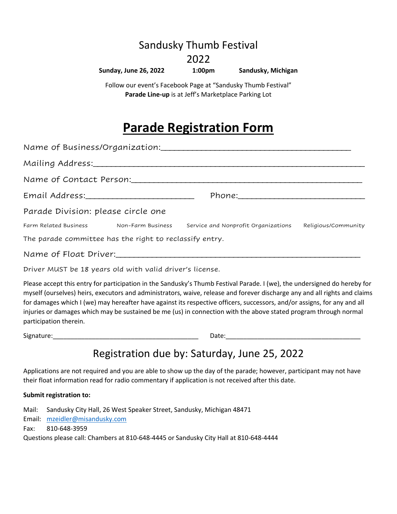## Sandusky Thumb Festival

### 2022

#### **Sunday, June 26, 2022 1:00pm Sandusky, Michigan**

Follow our event's Facebook Page at "Sandusky Thumb Festival" **Parade Line-up** is at Jeff's Marketplace Parking Lot

# **Parade Registration Form**

| Mailing Address:_______________________                 |  |                                                                                                 |                     |
|---------------------------------------------------------|--|-------------------------------------------------------------------------------------------------|---------------------|
| Name of Contact Person:                                 |  |                                                                                                 |                     |
|                                                         |  |                                                                                                 |                     |
| Parade Division: please circle one                      |  |                                                                                                 |                     |
|                                                         |  | Farm Related Business               Non-Farm Business       Service and Nonprofit Organizations | Religious/Community |
| The parade committee has the right to reclassify entry. |  |                                                                                                 |                     |
|                                                         |  |                                                                                                 |                     |

Driver MUST be 18 years old with valid driver's license.

Please accept this entry for participation in the Sandusky's Thumb Festival Parade. I (we), the undersigned do hereby for myself (ourselves) heirs, executors and administrators, waive, release and forever discharge any and all rights and claims for damages which I (we) may hereafter have against its respective officers, successors, and/or assigns, for any and all injuries or damages which may be sustained be me (us) in connection with the above stated program through normal participation therein.

Signature: The contract of the contract of the contract of the contract of the contract of the contract of the contract of the contract of the contract of the contract of the contract of the contract of the contract of the

# Registration due by: Saturday, June 25, 2022

Applications are not required and you are able to show up the day of the parade; however, participant may not have their float information read for radio commentary if application is not received after this date.

### **Submit registration to:**

Mail: Sandusky City Hall, 26 West Speaker Street, Sandusky, Michigan 48471 Email: [mzeidler@misandusky.com](mailto:mzeidler@misandusky.com) Fax: 810-648-3959 Questions please call: Chambers at 810-648-4445 or Sandusky City Hall at 810-648-4444